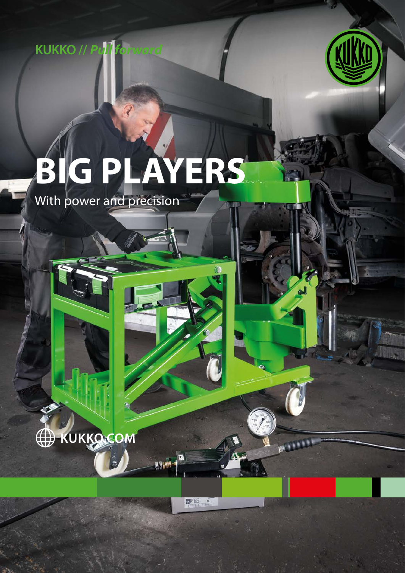



# **BIG PLAYERS**

With power and precision



更轻 "

 $\overline{a}$ 

ASIM

للللابع

C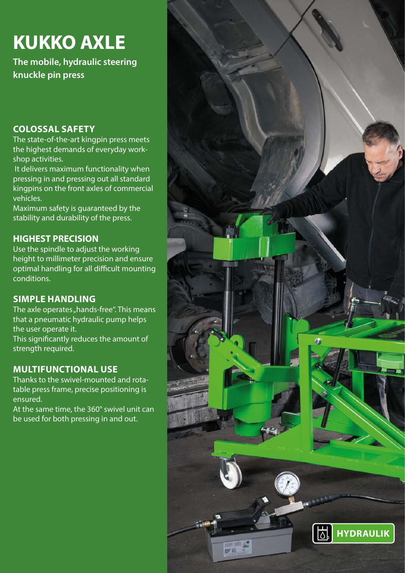### **KUKKO AXLE**

**The mobile, hydraulic steering knuckle pin press**

#### **COLOSSAL SAFETY**

The state-of-the-art kingpin press meets the highest demands of everyday workshop activities.

 It delivers maximum functionality when pressing in and pressing out all standard kingpins on the front axles of commercial vehicles.

Maximum safety is guaranteed by the stability and durability of the press.

#### **HIGHEST PRECISION**

Use the spindle to adjust the working height to millimeter precision and ensure optimal handling for all difficult mounting conditions.

#### **SIMPLE HANDLING**

The axle operates "hands-free". This means that a pneumatic hydraulic pump helps the user operate it.

This significantly reduces the amount of strength required.

#### **MULTIFUNCTIONAL USE**

Thanks to the swivel-mounted and rotatable press frame, precise positioning is ensured.

At the same time, the 360° swivel unit can be used for both pressing in and out.

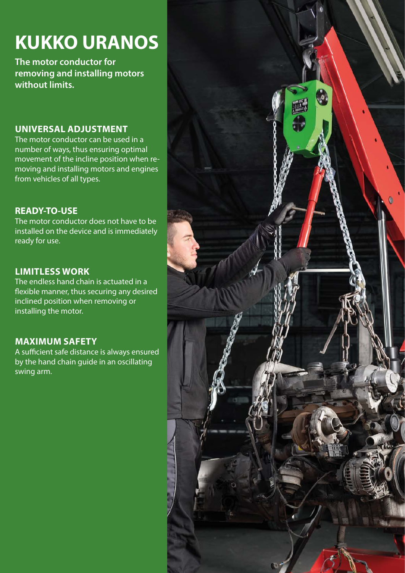### **KUKKO URANOS**

**The motor conductor for removing and installing motors without limits.**

#### **UNIVERSAL ADJUSTMENT**

The motor conductor can be used in a number of ways, thus ensuring optimal movement of the incline position when removing and installing motors and engines from vehicles of all types.

#### **READY-TO-USE**

The motor conductor does not have to be installed on the device and is immediately ready for use.

#### **LIMITLESS WORK**

The endless hand chain is actuated in a flexible manner, thus securing any desired inclined position when removing or installing the motor.

#### **MAXIMUM SAFETY**

A sufficient safe distance is always ensured by the hand chain guide in an oscillating swing arm.

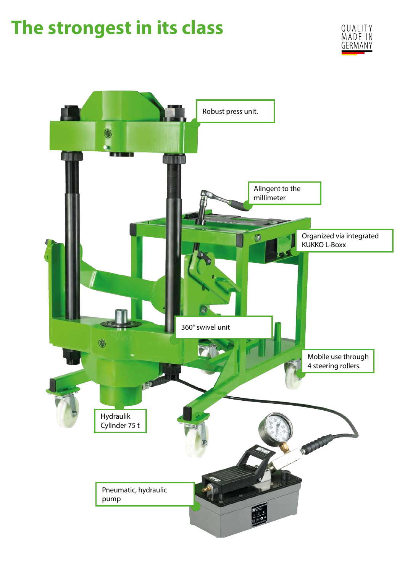### **The strongest in its class**



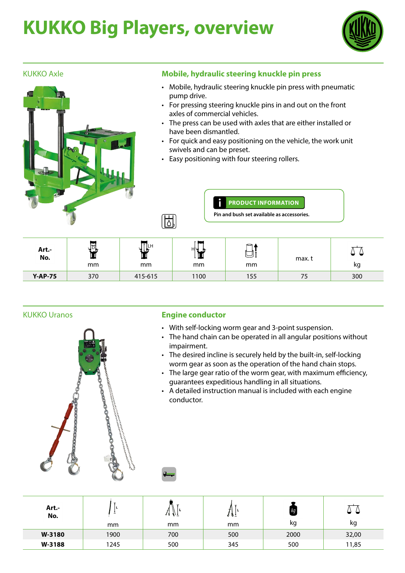## **KUKKO Big Players, overview**



#### KUKKO Axle



#### **Mobile, hydraulic steering knuckle pin press**

- Mobile, hydraulic steering knuckle pin press with pneumatic pump drive.
- For pressing steering knuckle pins in and out on the front axles of commercial vehicles.
- The press can be used with axles that are either installed or have been dismantled.
- For quick and easy positioning on the vehicle, the work unit swivels and can be preset.
- Easy positioning with four steering rollers.



**PRODUCT INFORMATION** Ŭ

**Pin and bush set available as accessories.**

| Art.-<br>No.   | ¦≂<br>ЧЧ⊾<br>Щ<br>mm | ∥L⊦<br>۱J<br>mm | HLD<br>mm | $\Theta$<br>mm | max.t | kg  |
|----------------|----------------------|-----------------|-----------|----------------|-------|-----|
| <b>Y-AP-75</b> | 370                  | 415-615         | 1100      | 155            | 75    | 300 |

#### KUKKO Uranos



#### **Engine conductor**

- With self-locking worm gear and 3-point suspension.
- The hand chain can be operated in all angular positions without impairment.
- The desired incline is securely held by the built-in, self-locking worm gear as soon as the operation of the hand chain stops.
- The large gear ratio of the worm gear, with maximum efficiency, guarantees expeditious handling in all situations.
- A detailed instruction manual is included with each engine conductor.

| Art.-<br>No. |      | ત્ક∙ક્\± | o o∴ | kg   |       |
|--------------|------|----------|------|------|-------|
|              | mm   | mm       | mm   | κg   | kg    |
| W-3180       | 1900 | 700      | 500  | 2000 | 32,00 |
| W-3188       | 1245 | 500      | 345  | 500  | 11,85 |